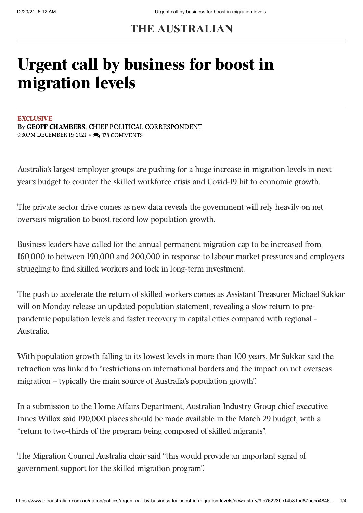## **THE AUSTRALIAN**

# Urgent call by business for boost in migration levels

#### **EXCLUSIVE**

By GEOFF [CHAMBERS,](https://www.theaustralian.com.au/author/Geoff+Chambers) CHIEF POLITICAL CORRESPONDENT 9:30PM DECEMBER 19, 2021 • 2 178 COMMENTS

Australia's largest employer groups are pushing for a huge increase in migration levels in next year's budget to counter the skilled workforce crisis and Covid-19 hit to economic growth.

The private sector drive comes as new data reveals the government will rely heavily on net overseas migration to boost record low population growth.

Business leaders have called for the annual permanent migration cap to be increased from 160,000 to between 190,000 and 200,000 in response to labour market pressures and employers struggling to find skilled workers and lock in long-term investment.

The push to accelerate the return of skilled workers comes as Assistant Treasurer Michael Sukkar will on Monday release an updated population statement, revealing a slow return to prepandemic population levels and faster recovery in capital cities compared with regional - Australia.

With population growth falling to its lowest levels in more than 100 years, Mr Sukkar said the retraction was linked to "restrictions on international borders and the impact on net overseas migration – typically the main source of Australia's population growth".

In a submission to the Home Affairs Department, Australian Industry Group chief executive Innes Willox said 190,000 places should be made available in the March 29 budget, with a "return to two-thirds of the program being composed of skilled migrants".

The Migration Council Australia chair said "this would provide an important signal of government support for the skilled migration program".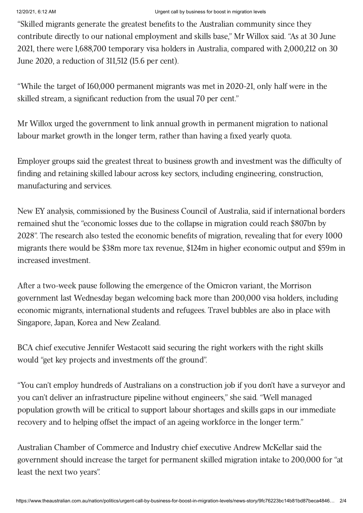#### 12/20/21, 6:12 AM Urgent call by business for boost in migration levels

"Skilled migrants generate the greatest benefits to the Australian community since they contribute directly to our national employment and skills base," Mr Willox said. "As at 30 June 2021, there were 1,688,700 temporary visa holders in Australia, compared with 2,000,212 on 30 June 2020, a reduction of 311,512 (15.6 per cent).

"While the target of 160,000 permanent migrants was met in 2020-21, only half were in the skilled stream, a significant reduction from the usual 70 per cent."

Mr Willox urged the government to link annual growth in permanent migration to national labour market growth in the longer term, rather than having a fixed yearly quota.

Employer groups said the greatest threat to business growth and investment was the difficulty of finding and retaining skilled labour across key sectors, including engineering, construction, manufacturing and services.

New EY analysis, commissioned by the Business Council of Australia, said if international borders remained shut the "economic losses due to the collapse in migration could reach \$807bn by 2028". The research also tested the economic benefits of migration, revealing that for every 1000 migrants there would be \$38m more tax revenue, \$124m in higher economic output and \$59m in increased investment.

After a two-week pause following the emergence of the Omicron variant, the Morrison government last Wednesday began welcoming back more than 200,000 visa holders, including economic migrants, international students and refugees. Travel bubbles are also in place with Singapore, Japan, Korea and New Zealand.

BCA chief executive Jennifer Westacott said securing the right workers with the right skills would "get key projects and investments off the ground".

"You can't employ hundreds of Australians on a construction job if you don't have a surveyor and you can't deliver an infrastructure pipeline without engineers," she said. "Well managed population growth will be critical to support labour shortages and skills gaps in our immediate recovery and to helping offset the impact of an ageing workforce in the longer term."

Australian Chamber of Commerce and Industry chief executive Andrew McKellar said the government should increase the target for permanent skilled migration intake to 200,000 for "at least the next two years".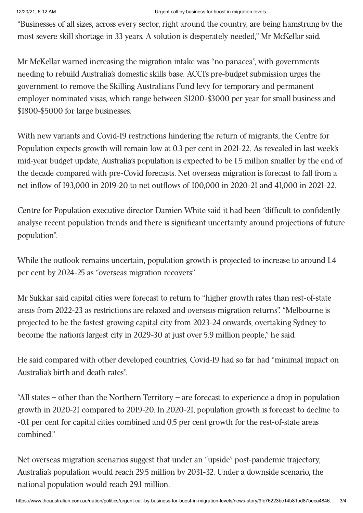#### 12/20/21, 6:12 AM Urgent call by business for boost in migration levels

"Businesses of all sizes, across every sector, right around the country, are being hamstrung by the most severe skill shortage in 33 years. A solution is desperately needed," Mr McKellar said.

Mr McKellar warned increasing the migration intake was "no panacea", with governments needing to rebuild Australia's domestic skills base. ACCI's pre-budget submission urges the government to remove the Skilling Australians Fund levy for temporary and permanent employer nominated visas, which range between \$1200-\$3000 per year for small business and \$1800-\$5000 for large businesses.

With new variants and Covid-19 restrictions hindering the return of migrants, the Centre for Population expects growth will remain low at 0.3 per cent in 2021-22. As revealed in last week's mid-year budget update, Australia's population is expected to be 1.5 million smaller by the end of the decade compared with pre-Covid forecasts. Net overseas migration is forecast to fall from a net inflow of 193,000 in 2019-20 to net outflows of 100,000 in 2020-21 and 41,000 in 2021-22.

Centre for Population executive director Damien White said it had been "difficult to confidently analyse recent population trends and there is significant uncertainty around projections of future population".

While the outlook remains uncertain, population growth is projected to increase to around 1.4 per cent by 2024-25 as "overseas migration recovers".

Mr Sukkar said capital cities were forecast to return to "higher growth rates than rest-of-state areas from 2022-23 as restrictions are relaxed and overseas migration returns". "Melbourne is projected to be the fastest growing capital city from 2023-24 onwards, overtaking Sydney to become the nation's largest city in 2029-30 at just over 5.9 million people," he said.

He said compared with other developed countries, Covid-19 had so far had "minimal impact on Australia's birth and death rates".

"All states – other than the Northern Territory – are forecast to experience a drop in population growth in 2020-21 compared to 2019-20. In 2020-21, population growth is forecast to decline to -0.1 per cent for capital cities combined and 0.5 per cent growth for the rest-of-state areas combined."

Net overseas migration scenarios suggest that under an "upside" post-pandemic trajectory, Australia's population would reach 29.5 million by 2031-32. Under a downside scenario, the national population would reach 29.1 million.